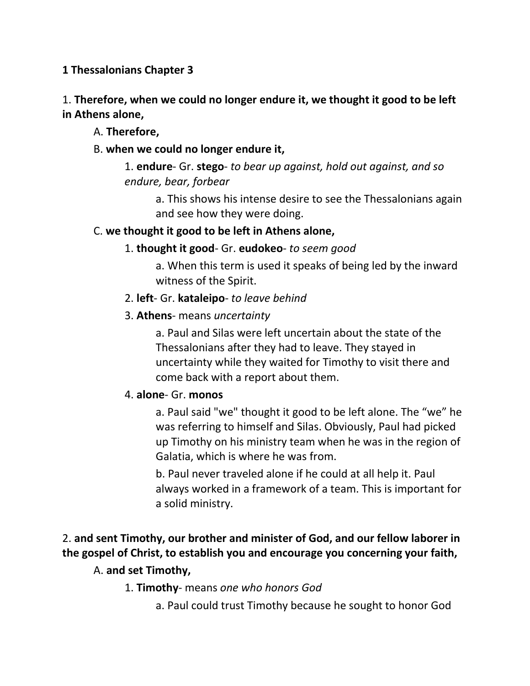**1 Thessalonians Chapter 3**

# 1. **Therefore, when we could no longer endure it, we thought it good to be left in Athens alone,**

- A. **Therefore,**
- B. **when we could no longer endure it,**

# 1. **endure**- Gr. **stego**- *to bear up against, hold out against, and so endure, bear, forbear*

a. This shows his intense desire to see the Thessalonians again and see how they were doing.

# C. **we thought it good to be left in Athens alone,**

# 1. **thought it good**- Gr. **eudokeo**- *to seem good*

a. When this term is used it speaks of being led by the inward witness of the Spirit.

# 2. **left**- Gr. **kataleipo**- *to leave behind*

# 3. **Athens**- means *uncertainty*

a. Paul and Silas were left uncertain about the state of the Thessalonians after they had to leave. They stayed in uncertainty while they waited for Timothy to visit there and come back with a report about them.

# 4. **alone**- Gr. **monos**

a. Paul said "we" thought it good to be left alone. The "we" he was referring to himself and Silas. Obviously, Paul had picked up Timothy on his ministry team when he was in the region of Galatia, which is where he was from.

b. Paul never traveled alone if he could at all help it. Paul always worked in a framework of a team. This is important for a solid ministry.

# 2. **and sent Timothy, our brother and minister of God, and our fellow laborer in the gospel of Christ, to establish you and encourage you concerning your faith,**

# A. **and set Timothy,**

# 1. **Timothy**- means *one who honors God*

a. Paul could trust Timothy because he sought to honor God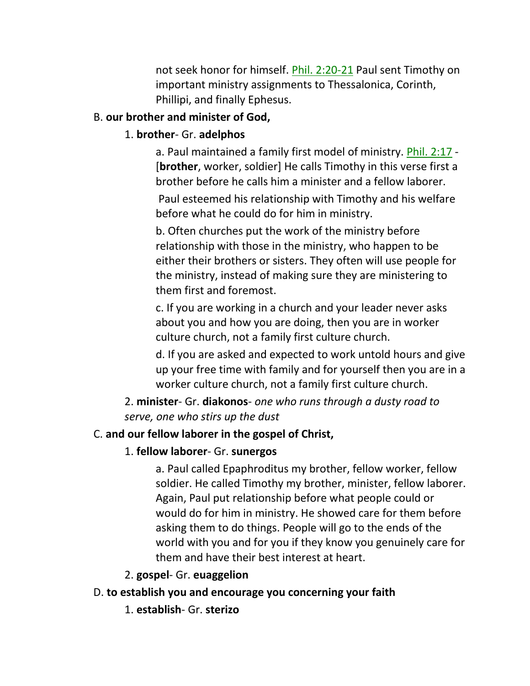not seek honor for himself. Phil. 2:20-21 Paul sent Timothy on important ministry assignments to Thessalonica, Corinth, Phillipi, and finally Ephesus.

### B. **our brother and minister of God,**

# 1. **brother**- Gr. **adelphos**

a. Paul maintained a family first model of ministry. Phil. 2:17 - [**brother**, worker, soldier] He calls Timothy in this verse first a brother before he calls him a minister and a fellow laborer.

Paul esteemed his relationship with Timothy and his welfare before what he could do for him in ministry.

b. Often churches put the work of the ministry before relationship with those in the ministry, who happen to be either their brothers or sisters. They often will use people for the ministry, instead of making sure they are ministering to them first and foremost.

c. If you are working in a church and your leader never asks about you and how you are doing, then you are in worker culture church, not a family first culture church.

d. If you are asked and expected to work untold hours and give up your free time with family and for yourself then you are in a worker culture church, not a family first culture church.

# 2. **minister**- Gr. **diakonos**- *one who runs through a dusty road to serve, one who stirs up the dust*

# C. **and our fellow laborer in the gospel of Christ,**

# 1. **fellow laborer**- Gr. **sunergos**

a. Paul called Epaphroditus my brother, fellow worker, fellow soldier. He called Timothy my brother, minister, fellow laborer. Again, Paul put relationship before what people could or would do for him in ministry. He showed care for them before asking them to do things. People will go to the ends of the world with you and for you if they know you genuinely care for them and have their best interest at heart.

# 2. **gospel**- Gr. **euaggelion**

# D. **to establish you and encourage you concerning your faith**

1. **establish**- Gr. **sterizo**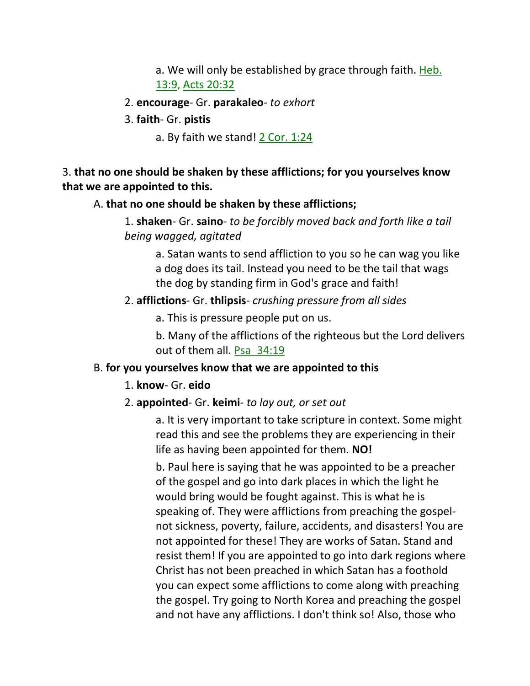a. We will only be established by grace through faith. Heb. 13:9, Acts 20:32

#### 2. **encourage**- Gr. **parakaleo**- *to exhort*

3. **faith**- Gr. **pistis**

a. By faith we stand! 2 Cor. 1:24

### 3. **that no one should be shaken by these afflictions; for you yourselves know that we are appointed to this.**

#### A. **that no one should be shaken by these afflictions;**

1. **shaken**- Gr. **saino**- *to be forcibly moved back and forth like a tail being wagged, agitated*

a. Satan wants to send affliction to you so he can wag you like a dog does its tail. Instead you need to be the tail that wags the dog by standing firm in God's grace and faith!

### 2. **afflictions**- Gr. **thlipsis**- *crushing pressure from all sides*

a. This is pressure people put on us.

b. Many of the afflictions of the righteous but the Lord delivers out of them all. Psa\_34:19

# B. **for you yourselves know that we are appointed to this**

#### 1. **know**- Gr. **eido**

#### 2. **appointed**- Gr. **keimi**- *to lay out, or set out*

a. It is very important to take scripture in context. Some might read this and see the problems they are experiencing in their life as having been appointed for them. **NO!** 

b. Paul here is saying that he was appointed to be a preacher of the gospel and go into dark places in which the light he would bring would be fought against. This is what he is speaking of. They were afflictions from preaching the gospelnot sickness, poverty, failure, accidents, and disasters! You are not appointed for these! They are works of Satan. Stand and resist them! If you are appointed to go into dark regions where Christ has not been preached in which Satan has a foothold you can expect some afflictions to come along with preaching the gospel. Try going to North Korea and preaching the gospel and not have any afflictions. I don't think so! Also, those who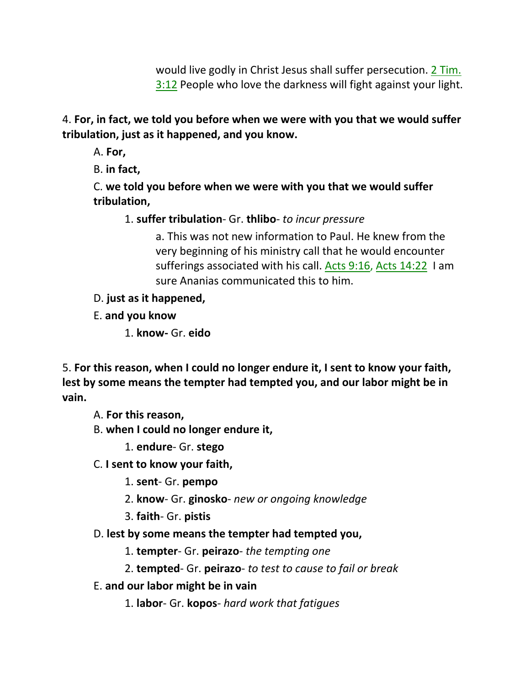would live godly in Christ Jesus shall suffer persecution. 2 Tim. 3:12 People who love the darkness will fight against your light.

4. **For, in fact, we told you before when we were with you that we would suffer tribulation, just as it happened, and you know.** 

A. **For,**

B. **in fact,**

C. **we told you before when we were with you that we would suffer tribulation,**

1. **suffer tribulation**- Gr. **thlibo**- *to incur pressure*

a. This was not new information to Paul. He knew from the very beginning of his ministry call that he would encounter sufferings associated with his call. Acts 9:16, Acts 14:22 I am sure Ananias communicated this to him.

D. **just as it happened,**

E. **and you know**

1. **know-** Gr. **eido**

5. **For this reason, when I could no longer endure it, I sent to know your faith, lest by some means the tempter had tempted you, and our labor might be in vain.** 

A. **For this reason,**

B. **when I could no longer endure it,**

1. **endure**- Gr. **stego**

C. **I sent to know your faith,**

1. **sent**- Gr. **pempo**

2. **know**- Gr. **ginosko**- *new or ongoing knowledge*

3. **faith**- Gr. **pistis**

D. **lest by some means the tempter had tempted you,**

1. **tempter**- Gr. **peirazo**- *the tempting one*

2. **tempted**- Gr. **peirazo**- *to test to cause to fail or break*

E. **and our labor might be in vain**

1. **labor**- Gr. **kopos**- *hard work that fatigues*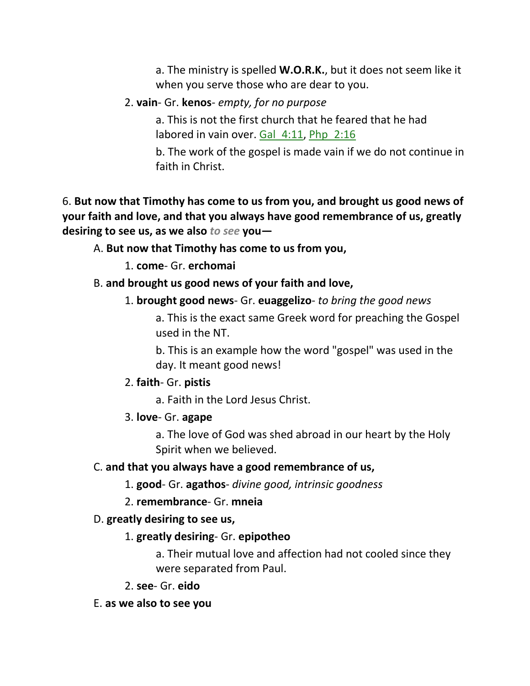a. The ministry is spelled **W.O.R.K.**, but it does not seem like it when you serve those who are dear to you.

# 2. **vain**- Gr. **kenos**- *empty, for no purpose*

a. This is not the first church that he feared that he had labored in vain over. Gal 4:11, Php 2:16

b. The work of the gospel is made vain if we do not continue in faith in Christ.

6. **But now that Timothy has come to us from you, and brought us good news of your faith and love, and that you always have good remembrance of us, greatly desiring to see us, as we also** *to see* **you—**

# A. **But now that Timothy has come to us from you,**

1. **come**- Gr. **erchomai**

### B. **and brought us good news of your faith and love,**

1. **brought good news**- Gr. **euaggelizo**- *to bring the good news*

a. This is the exact same Greek word for preaching the Gospel used in the NT.

b. This is an example how the word "gospel" was used in the day. It meant good news!

### 2. **faith**- Gr. **pistis**

a. Faith in the Lord Jesus Christ.

### 3. **love**- Gr. **agape**

a. The love of God was shed abroad in our heart by the Holy Spirit when we believed.

### C. **and that you always have a good remembrance of us,**

1. **good**- Gr. **agathos**- *divine good, intrinsic goodness*

# 2. **remembrance**- Gr. **mneia**

# D. **greatly desiring to see us,**

# 1. **greatly desiring**- Gr. **epipotheo**

a. Their mutual love and affection had not cooled since they were separated from Paul.

2. **see**- Gr. **eido**

### E. **as we also to see you**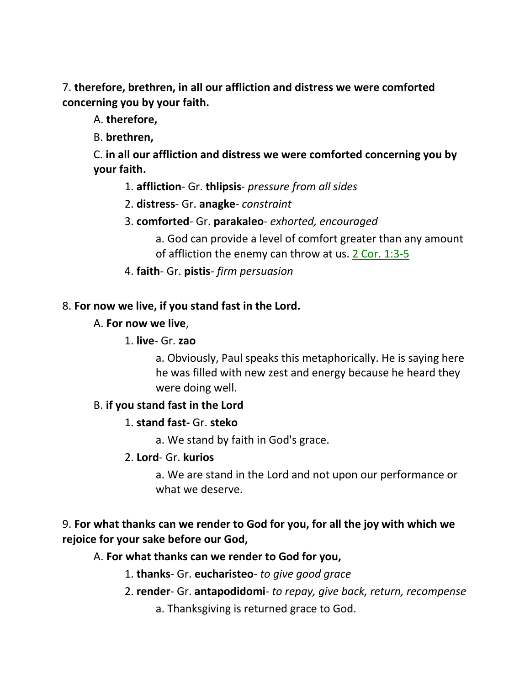7. **therefore, brethren, in all our affliction and distress we were comforted concerning you by your faith.**

A. **therefore,**

B. **brethren,**

C. **in all our affliction and distress we were comforted concerning you by your faith.** 

1. **affliction**- Gr. **thlipsis**- *pressure from all sides*

2. **distress**- Gr. **anagke**- *constraint*

3. **comforted**- Gr. **parakaleo**- *exhorted, encouraged*

a. God can provide a level of comfort greater than any amount of affliction the enemy can throw at us. 2 Cor. 1:3-5

4. **faith**- Gr. **pistis**- *firm persuasion*

### 8. **For now we live, if you stand fast in the Lord.**

### A. **For now we live**,

1. **live**- Gr. **zao**

a. Obviously, Paul speaks this metaphorically. He is saying here he was filled with new zest and energy because he heard they were doing well.

### B. **if you stand fast in the Lord**

### 1. **stand fast-** Gr. **steko**

a. We stand by faith in God's grace.

2. **Lord**- Gr. **kurios**

a. We are stand in the Lord and not upon our performance or what we deserve.

# 9. **For what thanks can we render to God for you, for all the joy with which we rejoice for your sake before our God,**

### A. **For what thanks can we render to God for you,**

- 1. **thanks** Gr. **eucharisteo** *to give good grace*
- 2. **render** Gr. **antapodidomi** *to repay, give back, return, recompense*
	- a. Thanksgiving is returned grace to God.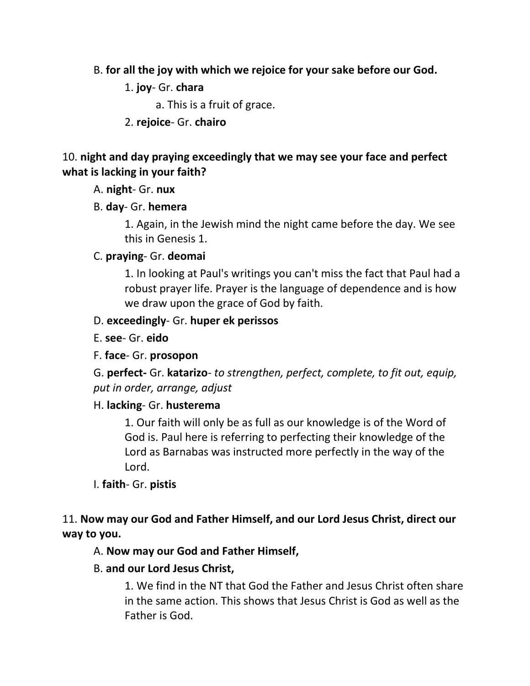- B. **for all the joy with which we rejoice for your sake before our God.**
	- 1. **joy** Gr. **chara**

a. This is a fruit of grace.

# 2. **rejoice**- Gr. **chairo**

### 10. **night and day praying exceedingly that we may see your face and perfect what is lacking in your faith?**

# A. **night**- Gr. **nux**

# B. **day**- Gr. **hemera**

1. Again, in the Jewish mind the night came before the day. We see this in Genesis 1.

# C. **praying**- Gr. **deomai**

1. In looking at Paul's writings you can't miss the fact that Paul had a robust prayer life. Prayer is the language of dependence and is how we draw upon the grace of God by faith.

### D. **exceedingly**- Gr. **huper ek perissos**

E. **see**- Gr. **eido**

# F. **face**- Gr. **prosopon**

G. **perfect-** Gr. **katarizo**- *to strengthen, perfect, complete, to fit out, equip, put in order, arrange, adjust*

### H. **lacking**- Gr. **husterema**

1. Our faith will only be as full as our knowledge is of the Word of God is. Paul here is referring to perfecting their knowledge of the Lord as Barnabas was instructed more perfectly in the way of the Lord.

# I. **faith**- Gr. **pistis**

11. **Now may our God and Father Himself, and our Lord Jesus Christ, direct our way to you.** 

# A. **Now may our God and Father Himself,**

# B. **and our Lord Jesus Christ,**

1. We find in the NT that God the Father and Jesus Christ often share in the same action. This shows that Jesus Christ is God as well as the Father is God.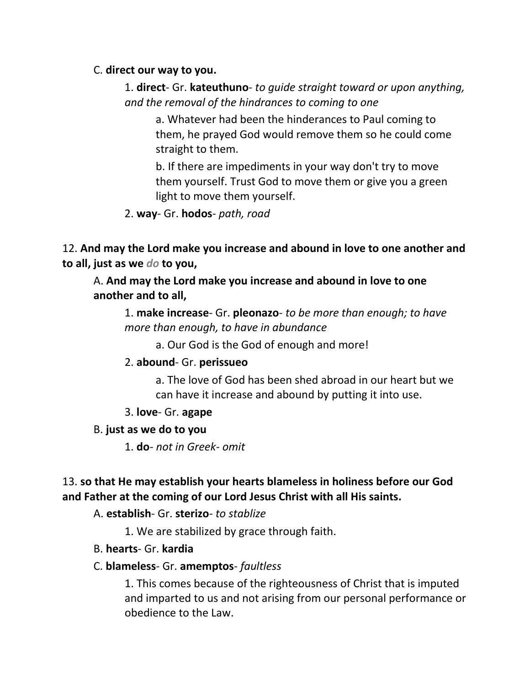### C. **direct our way to you.**

# 1. **direct**- Gr. **kateuthuno**- *to guide straight toward or upon anything, and the removal of the hindrances to coming to one*

a. Whatever had been the hinderances to Paul coming to them, he prayed God would remove them so he could come straight to them.

b. If there are impediments in your way don't try to move them yourself. Trust God to move them or give you a green light to move them yourself.

### 2. **way**- Gr. **hodos**- *path, road*

12. **And may the Lord make you increase and abound in love to one another and to all, just as we** *do* **to you,** 

A. **And may the Lord make you increase and abound in love to one another and to all,**

1. **make increase**- Gr. **pleonazo**- *to be more than enough; to have more than enough, to have in abundance*

a. Our God is the God of enough and more!

### 2. **abound**- Gr. **perissueo**

a. The love of God has been shed abroad in our heart but we can have it increase and abound by putting it into use.

3. **love**- Gr. **agape**

### B. **just as we do to you**

1. **do**- *not in Greek- omit*

# 13. **so that He may establish your hearts blameless in holiness before our God and Father at the coming of our Lord Jesus Christ with all His saints.**

### A. **establish**- Gr. **sterizo**- *to stablize*

1. We are stabilized by grace through faith.

### B. **hearts**- Gr. **kardia**

### C. **blameless**- Gr. **amemptos**- *faultless*

1. This comes because of the righteousness of Christ that is imputed and imparted to us and not arising from our personal performance or obedience to the Law.